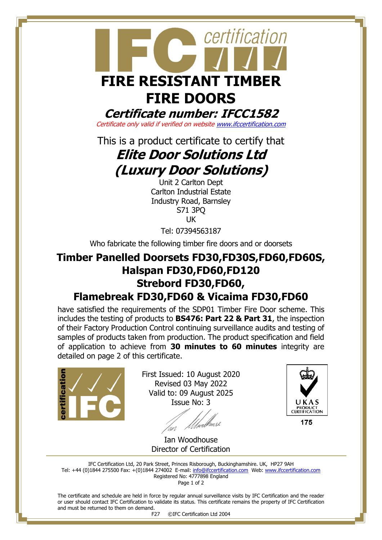

**Certificate number: IFCC1582**

Certificate only valid if verified on websit[e www.ifccertification.com](http://www.ifccertification.com/)

This is a product certificate to certify that

# **Elite Door Solutions Ltd (Luxury Door Solutions)**

Unit 2 Carlton Dept Carlton Industrial Estate Industry Road, Barnsley S71 3PQ UK

Tel: 07394563187

Who fabricate the following timber fire doors and or doorsets

## **Timber Panelled Doorsets FD30,FD30S,FD60,FD60S, Halspan FD30,FD60,FD120 Strebord FD30,FD60, Flamebreak FD30,FD60 & Vicaima FD30,FD60**

have satisfied the requirements of the SDP01 Timber Fire Door scheme. This includes the testing of products to **BS476: Part 22 & Part 31**, the inspection of their Factory Production Control continuing surveillance audits and testing of samples of products taken from production. The product specification and field of application to achieve from **30 minutes to 60 minutes** integrity are detailed on page 2 of this certificate.



First Issued: 10 August 2020 Revised 03 May 2022 Valid to: 09 August 2025 Issue No: 3

'un



Ian Woodhouse Director of Certification

IFC Certification Ltd, 20 Park Street, Princes Risborough, Buckinghamshire. UK, HP27 9AH Tel: +44 (0)1844 275500 Fax: +(0)1844 274002 E-mail[: info@ifccertification.com](mailto:info@ifccertification.com) Web: [www.ifccertification.com](http://www.ifccertification.com/) Registered No: 4777898 England Page 1 of 2

The certificate and schedule are held in force by regular annual surveillance visits by IFC Certification and the reader or user should contact IFC Certification to validate its status. This certificate remains the property of IFC Certification and must be returned to them on demand.

F27 ©IFC Certification Ltd 2004